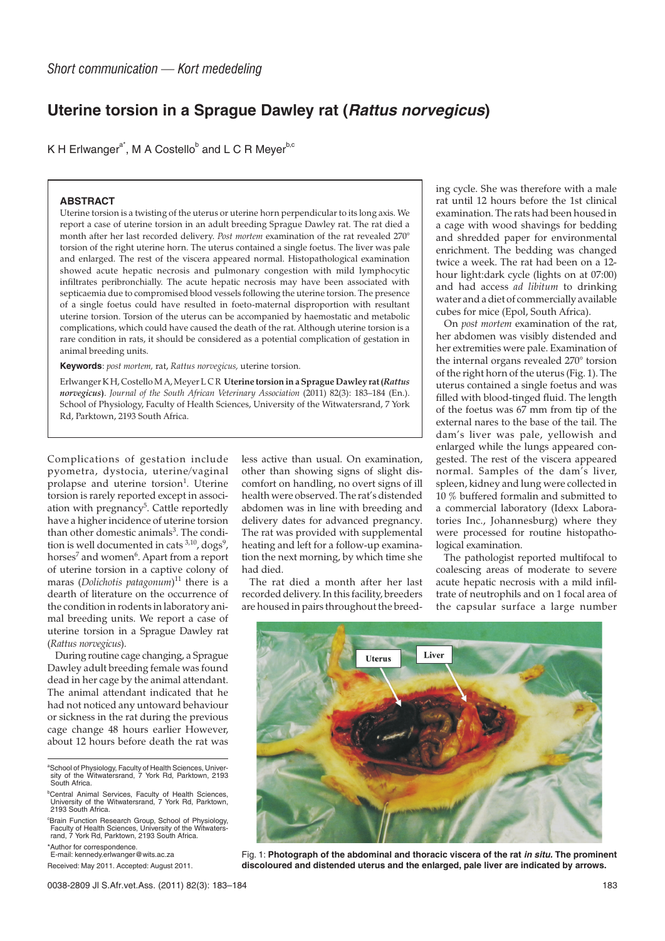## **Uterine torsion in a Sprague Dawley rat (Rattus norvegicus)**

K H Erlwanger<sup>a\*</sup>, M A Costello<sup>b</sup> and L C R Meyer<sup>b,c</sup>

## **ABSTRACT**

Uterine torsion is a twisting of the uterus or uterine horn perpendicular to its long axis. We report a case of uterine torsion in an adult breeding Sprague Dawley rat. The rat died a month after her last recorded delivery. *Post mortem* examination of the rat revealed 270° torsion of the right uterine horn. The uterus contained a single foetus. The liver was pale and enlarged. The rest of the viscera appeared normal. Histopathological examination showed acute hepatic necrosis and pulmonary congestion with mild lymphocytic infiltrates peribronchially. The acute hepatic necrosis may have been associated with septicaemia due to compromised blood vessels following the uterine torsion. The presence of a single foetus could have resulted in foeto-maternal disproportion with resultant uterine torsion. Torsion of the uterus can be accompanied by haemostatic and metabolic complications, which could have caused the death of the rat. Although uterine torsion is a rare condition in rats, it should be considered as a potential complication of gestation in animal breeding units.

**Keywords**: *post mortem,* rat, *Rattus norvegicus,* uterine torsion.

Erlwanger K H, Costello M A, Meyer L C R **Uterine torsion in a Sprague Dawley rat (***Rattus norvegicus***)**. *Journal of the South African Veterinary Association* (2011) 82(3): 183–184 (En.). School of Physiology, Faculty of Health Sciences, University of the Witwatersrand, 7 York Rd, Parktown, 2193 South Africa.

Complications of gestation include pyometra, dystocia, uterine/vaginal prolapse and uterine torsion<sup>1</sup>. Uterine torsion is rarely reported except in association with pregnancy<sup>5</sup>. Cattle reportedly have a higher incidence of uterine torsion than other domestic animals<sup>3</sup>. The condition is well documented in cats  $^{3,10}$ , dogs $^9$ , horses<sup>7</sup> and women<sup>6</sup>. Apart from a report of uterine torsion in a captive colony of maras (*Dolichotis patagonum*) <sup>11</sup> there is a dearth of literature on the occurrence of the condition in rodents in laboratory animal breeding units. We report a case of uterine torsion in a Sprague Dawley rat (*Rattus norvegicus*).

During routine cage changing, a Sprague Dawley adult breeding female was found dead in her cage by the animal attendant. The animal attendant indicated that he had not noticed any untoward behaviour or sickness in the rat during the previous cage change 48 hours earlier However, about 12 hours before death the rat was

a School of Physiology, Faculty of Health Sciences, Univer-sity of the Witwatersrand, 7 York Rd, Parktown, 2193 South Africa.

c Brain Function Research Group, School of Physiology, Faculty of Health Sciences, University of the Witwaters-rand, 7 York Rd, Parktown, 2193 South Africa.

\*Author for correspondence. E-mail: kennedy.erlwanger@wits.ac.za

less active than usual. On examination, other than showing signs of slight discomfort on handling, no overt signs of ill health were observed. The rat's distended abdomen was in line with breeding and delivery dates for advanced pregnancy. The rat was provided with supplemental heating and left for a follow-up examination the next morning, by which time she had died.

The rat died a month after her last recorded delivery. In this facility, breeders are housed in pairs throughout the breed-

ing cycle. She was therefore with a male rat until 12 hours before the 1st clinical examination. The rats had been housed in a cage with wood shavings for bedding and shredded paper for environmental enrichment. The bedding was changed twice a week. The rat had been on a 12 hour light:dark cycle (lights on at 07:00) and had access *ad libitum* to drinking water and a diet of commercially available cubes for mice (Epol, South Africa).

On *post mortem* examination of the rat, her abdomen was visibly distended and her extremities were pale. Examination of the internal organs revealed 270° torsion of the right horn of the uterus (Fig. 1). The uterus contained a single foetus and was filled with blood-tinged fluid. The length of the foetus was 67 mm from tip of the external nares to the base of the tail. The dam's liver was pale, yellowish and enlarged while the lungs appeared congested. The rest of the viscera appeared normal. Samples of the dam's liver, spleen, kidney and lung were collected in 10 % buffered formalin and submitted to a commercial laboratory (Idexx Laboratories Inc., Johannesburg) where they were processed for routine histopathological examination.

The pathologist reported multifocal to coalescing areas of moderate to severe acute hepatic necrosis with a mild infiltrate of neutrophils and on 1 focal area of the capsular surface a large number



Fig. 1: **Photograph of the abdominal and thoracic viscera of the rat in situ. The prominent discoloured and distended uterus and the enlarged, pale liver are indicated by arrows.**

b Central Animal Services, Faculty of Health Sciences, University of the Witwatersrand, 7 York Rd, Parktown, 2193 South Africa.

Received: May 2011. Accepted: August 2011.